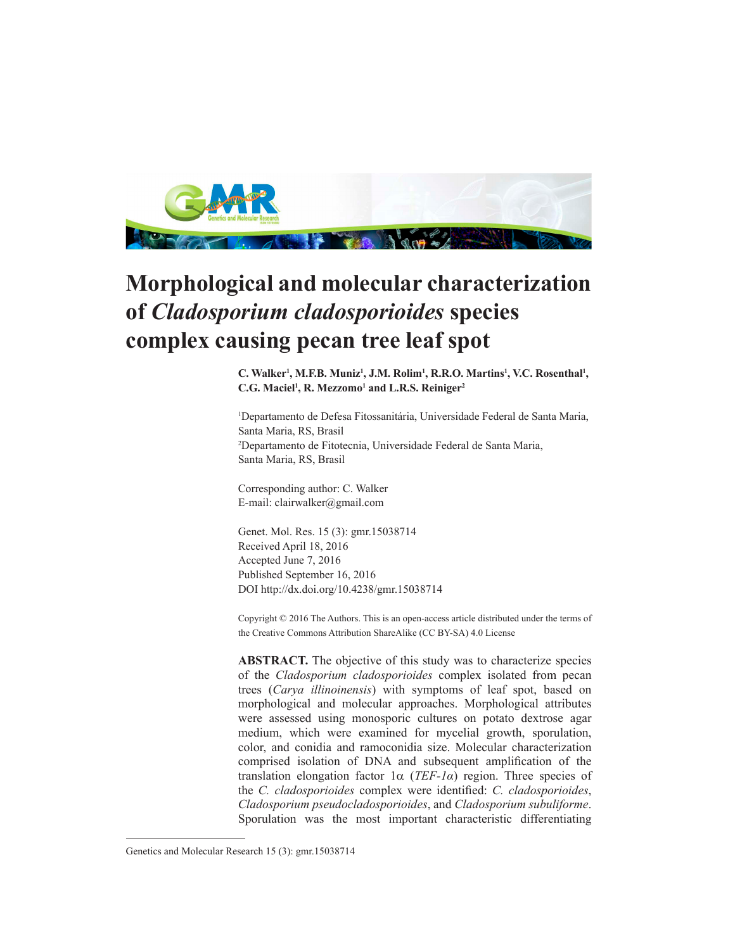

# **Morphological and molecular characterization of** *Cladosporium cladosporioides* **species complex causing pecan tree leaf spot**

C. Walker<sup>1</sup>, M.F.B. Muniz<sup>1</sup>, J.M. Rolim<sup>1</sup>, R.R.O. Martins<sup>1</sup>, V.C. Rosenthal<sup>1</sup>, C.G. Maciel<sup>1</sup>, R. Mezzomo<sup>1</sup> and L.R.S. Reiniger<sup>2</sup>

1 Departamento de Defesa Fitossanitária, Universidade Federal de Santa Maria, Santa Maria, RS, Brasil 2 Departamento de Fitotecnia, Universidade Federal de Santa Maria, Santa Maria, RS, Brasil

Corresponding author: C. Walker E-mail: clairwalker@gmail.com

Genet. Mol. Res. 15 (3): gmr.15038714 Received April 18, 2016 Accepted June 7, 2016 Published September 16, 2016 DOI http://dx.doi.org/10.4238/gmr.15038714

Copyright © 2016 The Authors. This is an open-access article distributed under the terms of the Creative Commons Attribution ShareAlike (CC BY-SA) 4.0 License

**ABSTRACT.** The objective of this study was to characterize species of the *Cladosporium cladosporioides* complex isolated from pecan trees (*Carya illinoinensis*) with symptoms of leaf spot, based on morphological and molecular approaches. Morphological attributes were assessed using monosporic cultures on potato dextrose agar medium, which were examined for mycelial growth, sporulation, color, and conidia and ramoconidia size. Molecular characterization comprised isolation of DNA and subsequent amplification of the translation elongation factor 1α (*TEF-1α*) region. Three species of the *C. cladosporioides* complex were identified: *C. cladosporioides*, *Cladosporium pseudocladosporioides*, and *Cladosporium subuliforme*. Sporulation was the most important characteristic differentiating

Genetics and Molecular Research 15 (3): gmr.15038714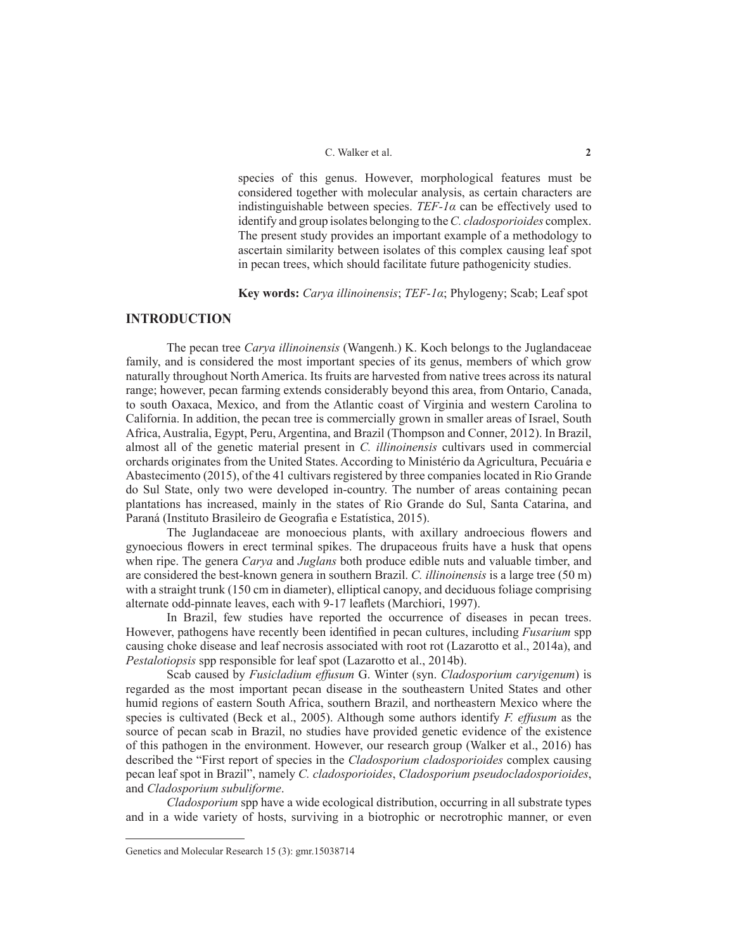species of this genus. However, morphological features must be considered together with molecular analysis, as certain characters are indistinguishable between species. *TEF-1α* can be effectively used to identify and group isolates belonging to the *C. cladosporioides* complex. The present study provides an important example of a methodology to ascertain similarity between isolates of this complex causing leaf spot in pecan trees, which should facilitate future pathogenicity studies.

**Key words:** *Carya illinoinensis*; *TEF-1α*; Phylogeny; Scab; Leaf spot

# **INTRODUCTION**

The pecan tree *Carya illinoinensis* (Wangenh.) K. Koch belongs to the Juglandaceae family, and is considered the most important species of its genus, members of which grow naturally throughout North America. Its fruits are harvested from native trees across its natural range; however, pecan farming extends considerably beyond this area, from Ontario, Canada, to south Oaxaca, Mexico, and from the Atlantic coast of Virginia and western Carolina to California. In addition, the pecan tree is commercially grown in smaller areas of Israel, South Africa, Australia, Egypt, Peru, Argentina, and Brazil (Thompson and Conner, 2012). In Brazil, almost all of the genetic material present in *C. illinoinensis* cultivars used in commercial orchards originates from the United States. According to Ministério da Agricultura, Pecuária e Abastecimento (2015), of the 41 cultivars registered by three companies located in Rio Grande do Sul State, only two were developed in-country. The number of areas containing pecan plantations has increased, mainly in the states of Rio Grande do Sul, Santa Catarina, and Paraná (Instituto Brasileiro de Geografia e Estatística, 2015).

The Juglandaceae are monoecious plants, with axillary androecious flowers and gynoecious flowers in erect terminal spikes. The drupaceous fruits have a husk that opens when ripe. The genera *Carya* and *Juglans* both produce edible nuts and valuable timber, and are considered the best-known genera in southern Brazil. *C. illinoinensis* is a large tree (50 m) with a straight trunk (150 cm in diameter), elliptical canopy, and deciduous foliage comprising alternate odd-pinnate leaves, each with 9-17 leaflets (Marchiori, 1997).

In Brazil, few studies have reported the occurrence of diseases in pecan trees. However, pathogens have recently been identified in pecan cultures, including *Fusarium* spp causing choke disease and leaf necrosis associated with root rot (Lazarotto et al., 2014a), and *Pestalotiopsis* spp responsible for leaf spot (Lazarotto et al., 2014b).

Scab caused by *Fusicladium effusum* G. Winter (syn. *Cladosporium caryigenum*) is regarded as the most important pecan disease in the southeastern United States and other humid regions of eastern South Africa, southern Brazil, and northeastern Mexico where the species is cultivated (Beck et al., 2005). Although some authors identify *F. effusum* as the source of pecan scab in Brazil, no studies have provided genetic evidence of the existence of this pathogen in the environment. However, our research group (Walker et al., 2016) has described the "First report of species in the *Cladosporium cladosporioides* complex causing pecan leaf spot in Brazil", namely *C. cladosporioides*, *Cladosporium pseudocladosporioides*, and *Cladosporium subuliforme*.

*Cladosporium* spp have a wide ecological distribution, occurring in all substrate types and in a wide variety of hosts, surviving in a biotrophic or necrotrophic manner, or even

Genetics and Molecular Research 15 (3): gmr.15038714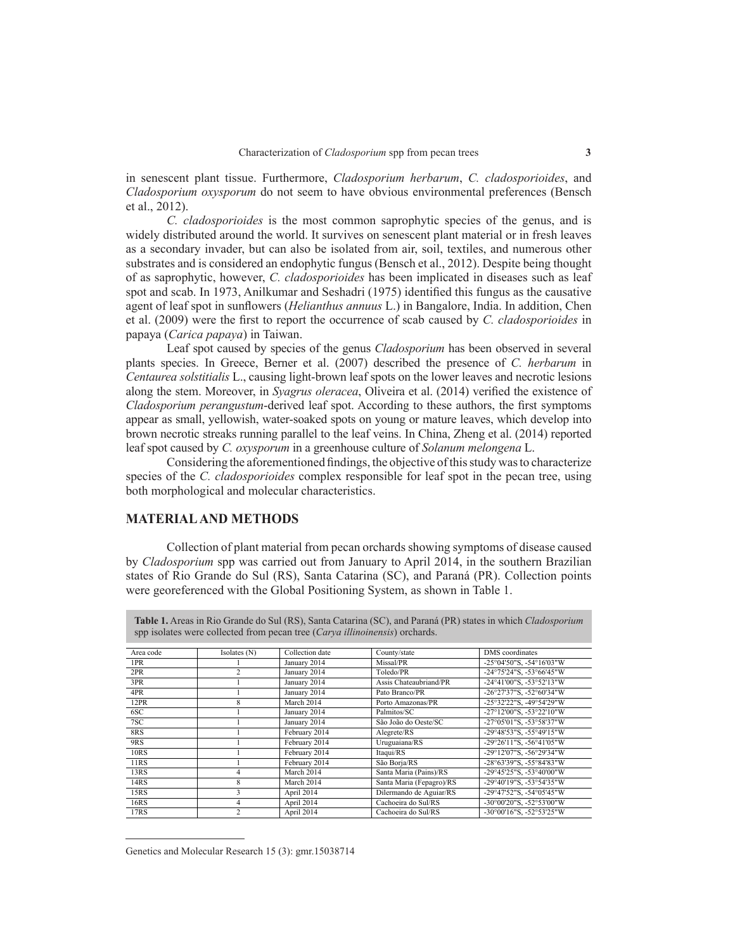in senescent plant tissue. Furthermore, *Cladosporium herbarum*, *C. cladosporioides*, and *Cladosporium oxysporum* do not seem to have obvious environmental preferences (Bensch et al., 2012).

*C. cladosporioides* is the most common saprophytic species of the genus, and is widely distributed around the world. It survives on senescent plant material or in fresh leaves as a secondary invader, but can also be isolated from air, soil, textiles, and numerous other substrates and is considered an endophytic fungus (Bensch et al., 2012). Despite being thought of as saprophytic, however, *C. cladosporioides* has been implicated in diseases such as leaf spot and scab. In 1973, Anilkumar and Seshadri (1975) identified this fungus as the causative agent of leaf spot in sunflowers (*Helianthus annuus* L.) in Bangalore, India. In addition, Chen et al. (2009) were the first to report the occurrence of scab caused by *C. cladosporioides* in papaya (*Carica papaya*) in Taiwan.

Leaf spot caused by species of the genus *Cladosporium* has been observed in several plants species. In Greece, Berner et al. (2007) described the presence of *C. herbarum* in *Centaurea solstitialis* L., causing light-brown leaf spots on the lower leaves and necrotic lesions along the stem. Moreover, in *Syagrus oleracea*, Oliveira et al. (2014) verified the existence of *Cladosporium perangustum*-derived leaf spot. According to these authors, the first symptoms appear as small, yellowish, water-soaked spots on young or mature leaves, which develop into brown necrotic streaks running parallel to the leaf veins. In China, Zheng et al. (2014) reported leaf spot caused by *C. oxysporum* in a greenhouse culture of *Solanum melongena* L.

Considering the aforementioned findings, the objective of this study was to characterize species of the *C. cladosporioides* complex responsible for leaf spot in the pecan tree, using both morphological and molecular characteristics.

## **MATERIAL AND METHODS**

Collection of plant material from pecan orchards showing symptoms of disease caused by *Cladosporium* spp was carried out from January to April 2014, in the southern Brazilian states of Rio Grande do Sul (RS), Santa Catarina (SC), and Paraná (PR). Collection points were georeferenced with the Global Positioning System, as shown in Table 1.

|           |                |                 | <b>Table 1.</b> Areas in Rio Grande do Sul (RS), Santa Catarina (SC), and Parana (PR) states in which Cladosporium<br>spp isolates were collected from pecan tree (Carya illinoinensis) orchards. |                          |
|-----------|----------------|-----------------|---------------------------------------------------------------------------------------------------------------------------------------------------------------------------------------------------|--------------------------|
| Area code | Isolates (N)   | Collection date | County/state                                                                                                                                                                                      | DMS coordinates          |
| 1PR       |                | January 2014    | Missal/PR                                                                                                                                                                                         | -25°04'50"S, -54°16'03"W |
| 2PR       | $\overline{c}$ | January 2014    | Toledo/PR                                                                                                                                                                                         | -24°75'24"S, -53°66'45"W |
| 3PR       |                | January 2014    | Assis Chateaubriand/PR                                                                                                                                                                            | -24°41'00"S, -53°52'13"W |
| 4PR       |                | January 2014    | Pato Branco/PR                                                                                                                                                                                    | -26°27'37"S. -52°60'34"W |
| 12PR      | 8              | March 2014      | Porto Amazonas/PR                                                                                                                                                                                 | -25°32'22"S, -49°54'29"W |
| 6SC       |                | January 2014    | Palmitos/SC                                                                                                                                                                                       | -27°12'00"S. -53°22'10"W |
| 7SC       |                | January 2014    | São João do Oeste/SC                                                                                                                                                                              | -27°05'01"S, -53°58'37"W |
| 8RS       |                | February 2014   | Alegrete/RS                                                                                                                                                                                       | -29°48'53"S, -55°49'15"W |
| 9RS       |                | February 2014   | Uruguaiana/RS                                                                                                                                                                                     | -29°26'11"S, -56°41'05"W |
| 10RS      |                | February 2014   | Itaqui/RS                                                                                                                                                                                         | -29°12'07"S, -56°29'34"W |
| 11RS      |                | February 2014   | São Borja/RS                                                                                                                                                                                      | -28°63'39"S, -55°84'83"W |
| 13RS      |                | March 2014      | Santa Maria (Pains)/RS                                                                                                                                                                            | -29°45'25"S. -53°40'00"W |
| 14RS      | 8              | March 2014      | Santa Maria (Fepagro)/RS                                                                                                                                                                          | -29°40'19"S, -53°54'35"W |
| 15RS      | 3              | April 2014      | Dilermando de Aguiar/RS                                                                                                                                                                           | -29°47'52"S. -54°05'45"W |
| 16RS      | 4              | April 2014      | Cachoeira do Sul/RS                                                                                                                                                                               | -30°00'20"S, -52°53'00"W |
| 17RS      | $\overline{c}$ | April 2014      | Cachoeira do Sul/RS                                                                                                                                                                               | -30°00'16"S. -52°53'25"W |

**Table 1.** Areas in Rio Grande do Sul (RS), Santa Catarina (SC), and Paraná (PR) states in which *Cladosporium*

Genetics and Molecular Research 15 (3): gmr.15038714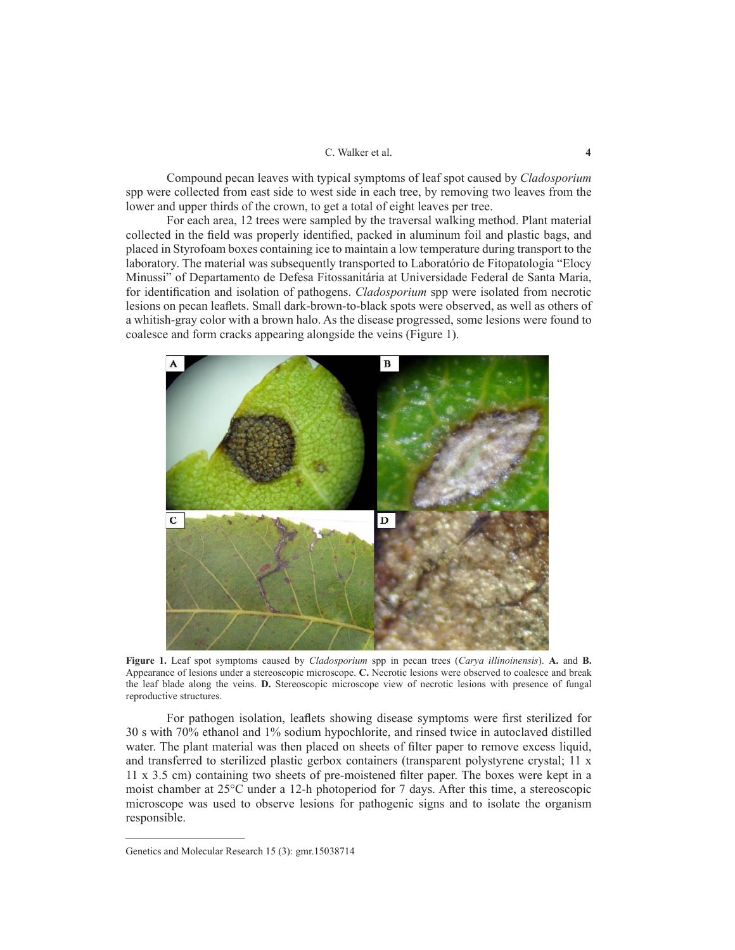Compound pecan leaves with typical symptoms of leaf spot caused by *Cladosporium* spp were collected from east side to west side in each tree, by removing two leaves from the lower and upper thirds of the crown, to get a total of eight leaves per tree.

For each area, 12 trees were sampled by the traversal walking method. Plant material collected in the field was properly identified, packed in aluminum foil and plastic bags, and placed in Styrofoam boxes containing ice to maintain a low temperature during transport to the laboratory. The material was subsequently transported to Laboratório de Fitopatologia "Elocy Minussi" of Departamento de Defesa Fitossanitária at Universidade Federal de Santa Maria, for identification and isolation of pathogens. *Cladosporium* spp were isolated from necrotic lesions on pecan leaflets. Small dark-brown-to-black spots were observed, as well as others of a whitish-gray color with a brown halo. As the disease progressed, some lesions were found to coalesce and form cracks appearing alongside the veins (Figure 1).



**Figure 1.** Leaf spot symptoms caused by *Cladosporium* spp in pecan trees (*Carya illinoinensis*). **A.** and **B.** Appearance of lesions under a stereoscopic microscope. **C.** Necrotic lesions were observed to coalesce and break the leaf blade along the veins. **D.** Stereoscopic microscope view of necrotic lesions with presence of fungal reproductive structures.

For pathogen isolation, leaflets showing disease symptoms were first sterilized for 30 s with 70% ethanol and 1% sodium hypochlorite, and rinsed twice in autoclaved distilled water. The plant material was then placed on sheets of filter paper to remove excess liquid, and transferred to sterilized plastic gerbox containers (transparent polystyrene crystal; 11 x 11 x 3.5 cm) containing two sheets of pre-moistened filter paper. The boxes were kept in a moist chamber at 25°C under a 12-h photoperiod for 7 days. After this time, a stereoscopic microscope was used to observe lesions for pathogenic signs and to isolate the organism responsible.

Genetics and Molecular Research 15 (3): gmr.15038714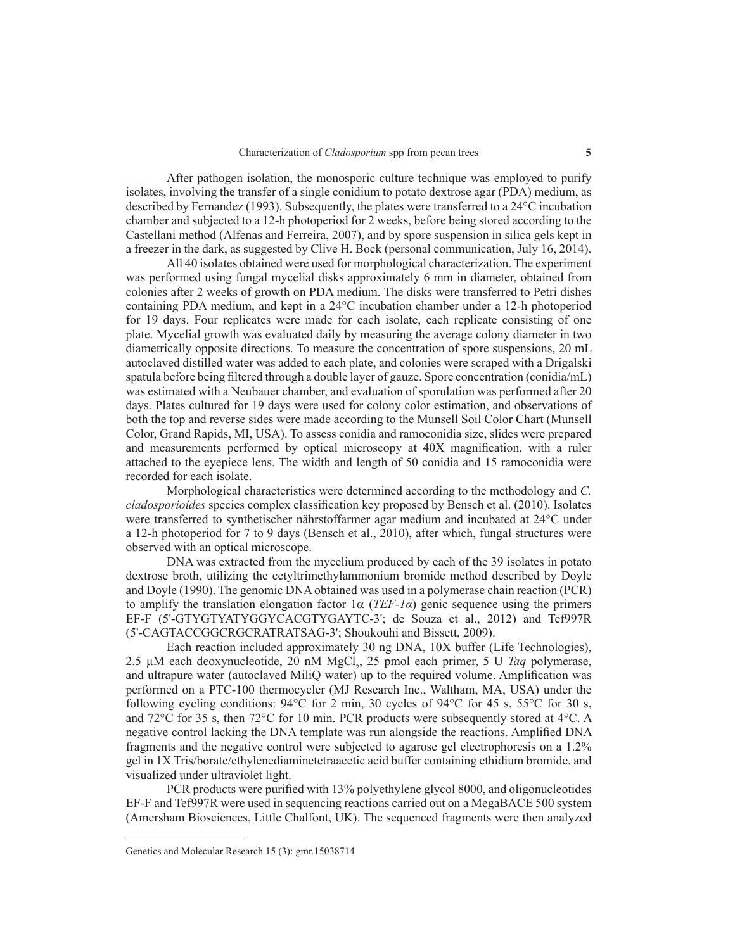After pathogen isolation, the monosporic culture technique was employed to purify isolates, involving the transfer of a single conidium to potato dextrose agar (PDA) medium, as described by Fernandez (1993). Subsequently, the plates were transferred to a 24°C incubation chamber and subjected to a 12-h photoperiod for 2 weeks, before being stored according to the Castellani method (Alfenas and Ferreira, 2007), and by spore suspension in silica gels kept in a freezer in the dark, as suggested by Clive H. Bock (personal communication, July 16, 2014).

All 40 isolates obtained were used for morphological characterization. The experiment was performed using fungal mycelial disks approximately 6 mm in diameter, obtained from colonies after 2 weeks of growth on PDA medium. The disks were transferred to Petri dishes containing PDA medium, and kept in a 24°C incubation chamber under a 12-h photoperiod for 19 days. Four replicates were made for each isolate, each replicate consisting of one plate. Mycelial growth was evaluated daily by measuring the average colony diameter in two diametrically opposite directions. To measure the concentration of spore suspensions, 20 mL autoclaved distilled water was added to each plate, and colonies were scraped with a Drigalski spatula before being filtered through a double layer of gauze. Spore concentration (conidia/mL) was estimated with a Neubauer chamber, and evaluation of sporulation was performed after 20 days. Plates cultured for 19 days were used for colony color estimation, and observations of both the top and reverse sides were made according to the Munsell Soil Color Chart (Munsell Color, Grand Rapids, MI, USA). To assess conidia and ramoconidia size, slides were prepared and measurements performed by optical microscopy at 40X magnification, with a ruler attached to the eyepiece lens. The width and length of 50 conidia and 15 ramoconidia were recorded for each isolate.

Morphological characteristics were determined according to the methodology and *C. cladosporioides* species complex classification key proposed by Bensch et al. (2010). Isolates were transferred to synthetischer nährstoffarmer agar medium and incubated at 24°C under a 12-h photoperiod for 7 to 9 days (Bensch et al., 2010), after which, fungal structures were observed with an optical microscope.

DNA was extracted from the mycelium produced by each of the 39 isolates in potato dextrose broth, utilizing the cetyltrimethylammonium bromide method described by Doyle and Doyle (1990). The genomic DNA obtained was used in a polymerase chain reaction (PCR) to amplify the translation elongation factor  $1\alpha$  (*TEF-1α*) genic sequence using the primers EF-F (5'-GTYGTYATYGGYCACGTYGAYTC-3'; de Souza et al., 2012) and Tef997R (5'-CAGTACCGGCRGCRATRATSAG-3'; Shoukouhi and Bissett, 2009).

Each reaction included approximately 30 ng DNA, 10X buffer (Life Technologies), 2.5 μM each deoxynucleotide, 20 nM MgCl<sub>2</sub>, 25 pmol each primer, 5 U *Taq* polymerase, and ultrapure water (autoclaved MiliQ water) up to the required volume. Amplification was performed on a PTC-100 thermocycler (MJ Research Inc., Waltham, MA, USA) under the following cycling conditions:  $94^{\circ}$ C for 2 min, 30 cycles of  $94^{\circ}$ C for 45 s,  $55^{\circ}$ C for 30 s, and 72°C for 35 s, then 72°C for 10 min. PCR products were subsequently stored at 4°C. A negative control lacking the DNA template was run alongside the reactions. Amplified DNA fragments and the negative control were subjected to agarose gel electrophoresis on a 1.2% gel in 1X Tris/borate/ethylenediaminetetraacetic acid buffer containing ethidium bromide, and visualized under ultraviolet light.

PCR products were purified with 13% polyethylene glycol 8000, and oligonucleotides EF-F and Tef997R were used in sequencing reactions carried out on a MegaBACE 500 system (Amersham Biosciences, Little Chalfont, UK). The sequenced fragments were then analyzed

Genetics and Molecular Research 15 (3): gmr.15038714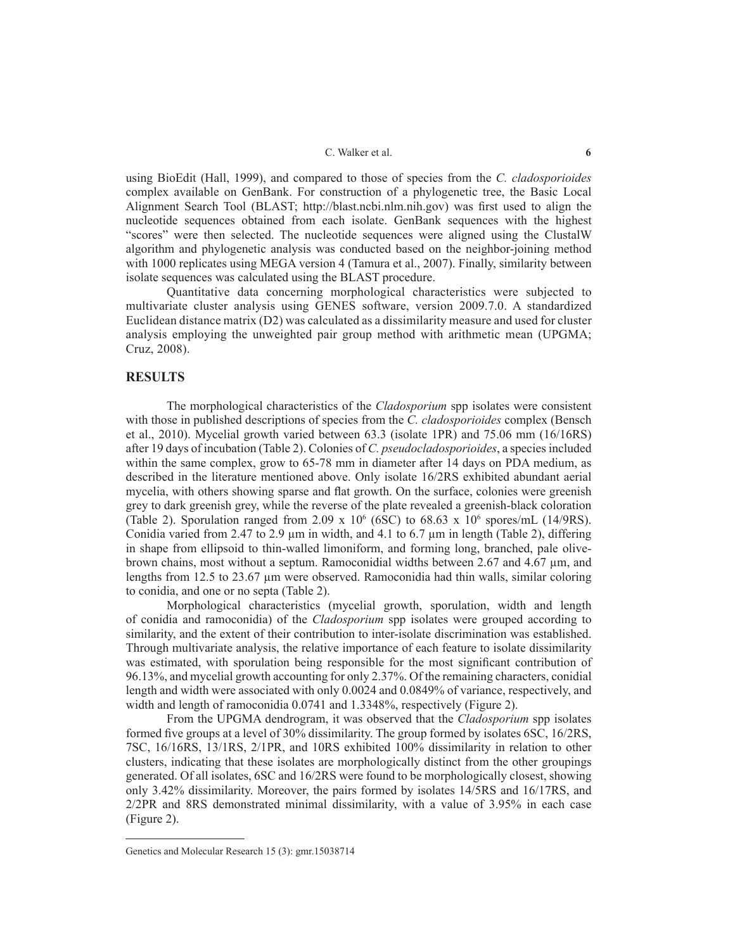using BioEdit (Hall, 1999), and compared to those of species from the *C. cladosporioides* complex available on GenBank. For construction of a phylogenetic tree, the Basic Local Alignment Search Tool (BLAST; http://blast.ncbi.nlm.nih.gov) was first used to align the nucleotide sequences obtained from each isolate. GenBank sequences with the highest "scores" were then selected. The nucleotide sequences were aligned using the ClustalW algorithm and phylogenetic analysis was conducted based on the neighbor-joining method with 1000 replicates using MEGA version 4 (Tamura et al., 2007). Finally, similarity between isolate sequences was calculated using the BLAST procedure.

Quantitative data concerning morphological characteristics were subjected to multivariate cluster analysis using GENES software, version 2009.7.0. A standardized Euclidean distance matrix (D2) was calculated as a dissimilarity measure and used for cluster analysis employing the unweighted pair group method with arithmetic mean (UPGMA; Cruz, 2008).

# **RESULTS**

The morphological characteristics of the *Cladosporium* spp isolates were consistent with those in published descriptions of species from the *C. cladosporioides* complex (Bensch et al., 2010). Mycelial growth varied between 63.3 (isolate 1PR) and 75.06 mm (16/16RS) after 19 days of incubation (Table 2). Colonies of *C. pseudocladosporioides*, a species included within the same complex, grow to 65-78 mm in diameter after 14 days on PDA medium, as described in the literature mentioned above. Only isolate 16/2RS exhibited abundant aerial mycelia, with others showing sparse and flat growth. On the surface, colonies were greenish grey to dark greenish grey, while the reverse of the plate revealed a greenish-black coloration (Table 2). Sporulation ranged from 2.09 x  $10^6$  (6SC) to 68.63 x  $10^6$  spores/mL (14/9RS). Conidia varied from 2.47 to 2.9 µm in width, and 4.1 to 6.7 µm in length (Table 2), differing in shape from ellipsoid to thin-walled limoniform, and forming long, branched, pale olivebrown chains, most without a septum. Ramoconidial widths between 2.67 and 4.67 µm, and lengths from 12.5 to 23.67 um were observed. Ramoconidia had thin walls, similar coloring to conidia, and one or no septa (Table 2).

Morphological characteristics (mycelial growth, sporulation, width and length of conidia and ramoconidia) of the *Cladosporium* spp isolates were grouped according to similarity, and the extent of their contribution to inter-isolate discrimination was established. Through multivariate analysis, the relative importance of each feature to isolate dissimilarity was estimated, with sporulation being responsible for the most significant contribution of 96.13%, and mycelial growth accounting for only 2.37%. Of the remaining characters, conidial length and width were associated with only 0.0024 and 0.0849% of variance, respectively, and width and length of ramoconidia 0.0741 and 1.3348%, respectively (Figure 2).

From the UPGMA dendrogram, it was observed that the *Cladosporium* spp isolates formed five groups at a level of 30% dissimilarity. The group formed by isolates 6SC, 16/2RS, 7SC, 16/16RS, 13/1RS, 2/1PR, and 10RS exhibited 100% dissimilarity in relation to other clusters, indicating that these isolates are morphologically distinct from the other groupings generated. Of all isolates, 6SC and 16/2RS were found to be morphologically closest, showing only 3.42% dissimilarity. Moreover, the pairs formed by isolates 14/5RS and 16/17RS, and 2/2PR and 8RS demonstrated minimal dissimilarity, with a value of 3.95% in each case (Figure 2).

Genetics and Molecular Research 15 (3): gmr.15038714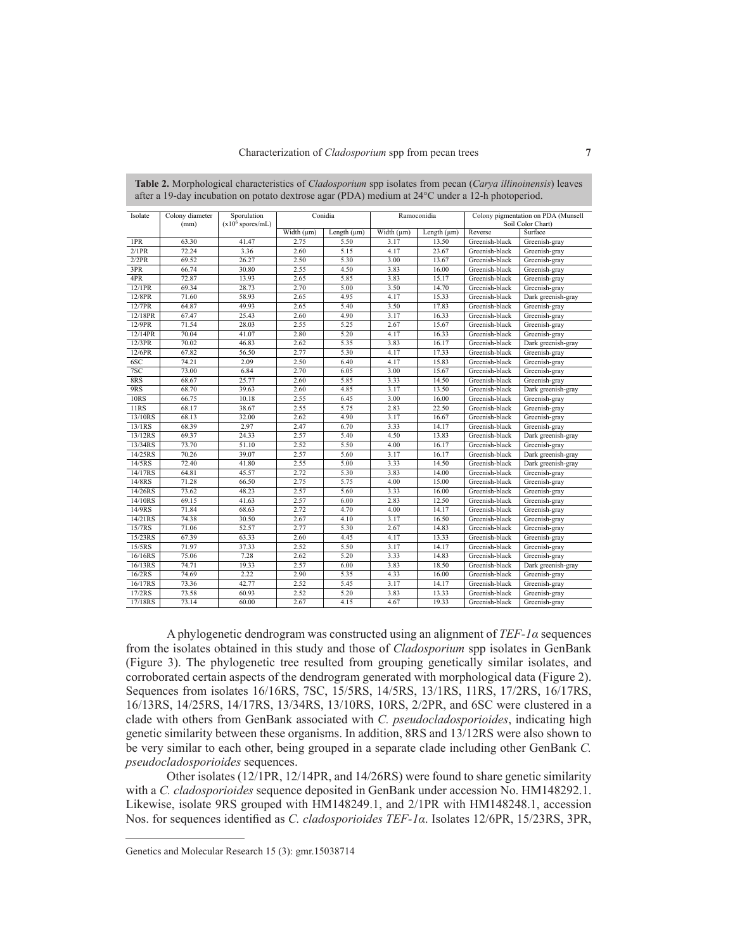| Colony diameter<br>Isolate<br>(mm) |       | Sporulation<br>$(x10^6$ spores/mL) | Conidia         |                  | Ramoconidia     |                  | Colony pigmentation on PDA (Munsell<br>Soil Color Chart) |                    |
|------------------------------------|-------|------------------------------------|-----------------|------------------|-----------------|------------------|----------------------------------------------------------|--------------------|
|                                    |       |                                    | Width $(\mu m)$ | Length $(\mu m)$ | Width $(\mu m)$ | Length $(\mu m)$ | Reverse                                                  | Surface            |
| 1PR                                | 63.30 | 41.47                              | 2.75            | 5.50             | 3.17            | 13.50            | Greenish-black                                           | Greenish-gray      |
| 2/1PR                              | 72.24 | 3.36                               | 2.60            | 5.15             | 4.17            | 23.67            | Greenish-black                                           | Greenish-gray      |
| 2/2PR                              | 69.52 | 26.27                              | 2.50            | 5.30             | 3.00            | 13.67            | Greenish-black                                           | Greenish-gray      |
| 3PR                                | 66.74 | 30.80                              | 2.55            | 4.50             | 3.83            | 16.00            | Greenish-black                                           | Greenish-gray      |
| 4PR                                | 72.87 | 13.93                              | 2.65            | 5.85             | 3.83            | 15.17            | Greenish-black                                           | Greenish-gray      |
| 12/1PR                             | 69.34 | 28.73                              | 2.70            | 5.00             | 3.50            | 14.70            | Greenish-black                                           | Greenish-gray      |
| 12/8PR                             | 71.60 | 58.93                              | 2.65            | 4.95             | 4.17            | 15.33            | Greenish-black                                           | Dark greenish-gray |
| 12/7PR                             | 64.87 | 49.93                              | 2.65            | 5.40             | 3.50            | 17.83            | Greenish-black                                           | Greenish-gray      |
| 12/18PR                            | 67.47 | 25.43                              | 2.60            | 4.90             | 3.17            | 16.33            | Greenish-black                                           | Greenish-gray      |
| 12/9PR                             | 71.54 | 28.03                              | 2.55            | 5.25             | 2.67            | 15.67            | Greenish-black                                           | Greenish-gray      |
| 12/14PR                            | 70.04 | 41.07                              | 2.80            | 5.20             | 4.17            | 16.33            | Greenish-black                                           | Greenish-gray      |
| 12/3PR                             | 70.02 | 46.83                              | 2.62            | 5.35             | 3.83            | 16.17            | Greenish-black                                           | Dark greenish-gray |
| 12/6PR                             | 67.82 | 56.50                              | 2.77            | 5.30             | 4.17            | 17.33            | Greenish-black                                           | Greenish-gray      |
| 6SC                                | 74.21 | 2.09                               | 2.50            | 6.40             | 4.17            | 15.83            | Greenish-black                                           | Greenish-gray      |
| 7SC                                | 73.00 | 6.84                               | 2.70            | 6.05             | 3.00            | 15.67            | Greenish-black                                           | Greenish-gray      |
| 8RS                                | 68.67 | 25.77                              | 2.60            | 5.85             | 3.33            | 14.50            | Greenish-black                                           | Greenish-gray      |
| 9RS                                | 68.70 | 39.63                              | 2.60            | 4.85             | 3.17            | 13.50            | Greenish-black                                           | Dark greenish-gray |
| <b>10RS</b>                        | 66.75 | 10.18                              | 2.55            | 6.45             | 3.00            | 16.00            | Greenish-black                                           | Greenish-gray      |
| 11RS                               | 68.17 | 38.67                              | 2.55            | 5.75             | 2.83            | 22.50            | Greenish-black                                           | Greenish-gray      |
| 13/10RS                            | 68.13 | 32.00                              | 2.62            | 4.90             | 3.17            | 16.67            | Greenish-black                                           | Greenish-gray      |
| 13/1RS                             | 68.39 | 2.97                               | 2.47            | 6.70             | 3.33            | 14.17            | Greenish-black                                           | Greenish-gray      |
| 13/12RS                            | 69.37 | 24.33                              | 2.57            | 5.40             | 4.50            | 13.83            | Greenish-black                                           | Dark greenish-grav |
| 13/34RS                            | 73.70 | 51.10                              | 2.52            | 5.50             | 4.00            | 16.17            | Greenish-black                                           | Greenish-gray      |
| 14/25RS                            | 70.26 | 39.07                              | 2.57            | 5.60             | 3.17            | 16.17            | Greenish-black                                           | Dark greenish-gray |
| 14/5RS                             | 72.40 | 41.80                              | 2.55            | 5.00             | 3.33            | 14.50            | Greenish-black                                           | Dark greenish-grav |
| 14/17RS                            | 64.81 | 45.57                              | 2.72            | 5.30             | 3.83            | 14.00            | Greenish-black                                           | Greenish-gray      |
| 14/8RS                             | 71.28 | 66.50                              | 2.75            | 5.75             | 4.00            | 15.00            | Greenish-black                                           | Greenish-gray      |
| 14/26RS                            | 73.62 | 48.23                              | 2.57            | 5.60             | 3.33            | 16.00            | Greenish-black                                           | Greenish-gray      |
| 14/10RS                            | 69.15 | 41.63                              | 2.57            | 6.00             | 2.83            | 12.50            | Greenish-black                                           | Greenish-gray      |
| 14/9RS                             | 71.84 | 68.63                              | 2.72            | 4.70             | 4.00            | 14.17            | Greenish-black                                           | Greenish-gray      |
| 14/21RS                            | 74.38 | 30.50                              | 2.67            | 4.10             | 3.17            | 16.50            | Greenish-black                                           | Greenish-gray      |
| 15/7RS                             | 71.06 | 52.57                              | 2.77            | 5.30             | 2.67            | 14.83            | Greenish-black                                           | Greenish-gray      |
| 15/23RS                            | 67.39 | 63.33                              | 2.60            | 4.45             | 4.17            | 13.33            | Greenish-black                                           | Greenish-gray      |
| 15/5RS                             | 71.97 | 37.33                              | 2.52            | 5.50             | 3.17            | 14.17            | Greenish-black                                           | Greenish-gray      |
| 16/16RS                            | 75.06 | 7.28                               | 2.62            | 5.20             | 3.33            | 14.83            | Greenish-black                                           | Greenish-gray      |
| 16/13RS                            | 74.71 | 19.33                              | 2.57            | 6.00             | 3.83            | 18.50            | Greenish-black                                           | Dark greenish-grav |
| 16/2RS                             | 74.69 | 2.22                               | 2.90            | 5.35             | 4.33            | 16.00            | Greenish-black                                           | Greenish-gray      |
| 16/17RS                            | 73.36 | 42.77                              | 2.52            | 5.45             | 3.17            | 14.17            | Greenish-black                                           | Greenish-gray      |
| 17/2RS                             | 73.58 | 60.93                              | 2.52            | 5.20             | 3.83            | 13.33            | Greenish-black                                           | Greenish-gray      |
| 17/18RS                            | 73.14 | 60.00                              | 2.67            | 4.15             | 4.67            | 19.33            | Greenish-black                                           | Greenish-gray      |

**Table 2.** Morphological characteristics of *Cladosporium* spp isolates from pecan (*Carya illinoinensis*) leaves after a 19-day incubation on potato dextrose agar (PDA) medium at 24°C under a 12-h photoperiod.

A phylogenetic dendrogram was constructed using an alignment of *TEF-1α* sequences from the isolates obtained in this study and those of *Cladosporium* spp isolates in GenBank (Figure 3). The phylogenetic tree resulted from grouping genetically similar isolates, and corroborated certain aspects of the dendrogram generated with morphological data (Figure 2). Sequences from isolates 16/16RS, 7SC, 15/5RS, 14/5RS, 13/1RS, 11RS, 17/2RS, 16/17RS, 16/13RS, 14/25RS, 14/17RS, 13/34RS, 13/10RS, 10RS, 2/2PR, and 6SC were clustered in a clade with others from GenBank associated with *C. pseudocladosporioides*, indicating high genetic similarity between these organisms. In addition, 8RS and 13/12RS were also shown to be very similar to each other, being grouped in a separate clade including other GenBank *C. pseudocladosporioides* sequences.

Other isolates (12/1PR, 12/14PR, and 14/26RS) were found to share genetic similarity with a *C. cladosporioides* sequence deposited in GenBank under accession No. HM148292.1. Likewise, isolate 9RS grouped with HM148249.1, and 2/1PR with HM148248.1, accession Nos. for sequences identified as *C. cladosporioides TEF-1α*. Isolates 12/6PR, 15/23RS, 3PR,

Genetics and Molecular Research 15 (3): gmr.15038714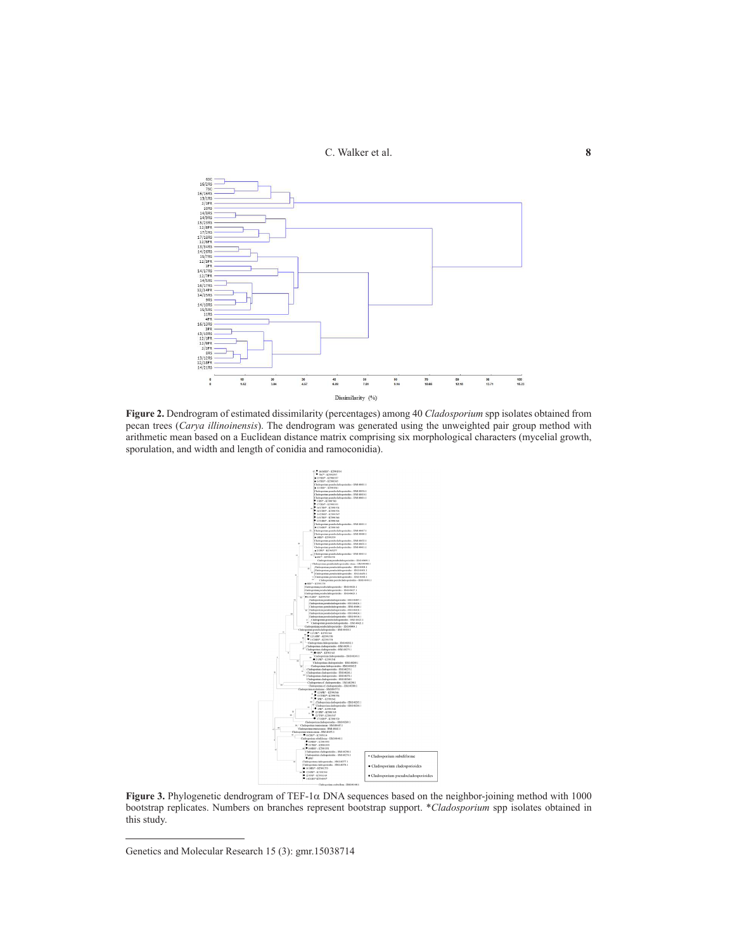

**Figure 2.** Dendrogram of estimated dissimilarity (percentages) among 40 *Cladosporium* spp isolates obtained from pecan trees (*Carya illinoinensis*). The dendrogram was generated using the unweighted pair group method with arithmetic mean based on a Euclidean distance matrix comprising six morphological characters (mycelial growth, sporulation, and width and length of conidia and ramoconidia).



**Figure 3.** Phylogenetic dendrogram of TEF-1α DNA sequences based on the neighbor-joining method with 1000 bootstrap replicates. Numbers on branches represent bootstrap support. \**Cladosporium* spp isolates obtained in this study.

Genetics and Molecular Research 15 (3): gmr.15038714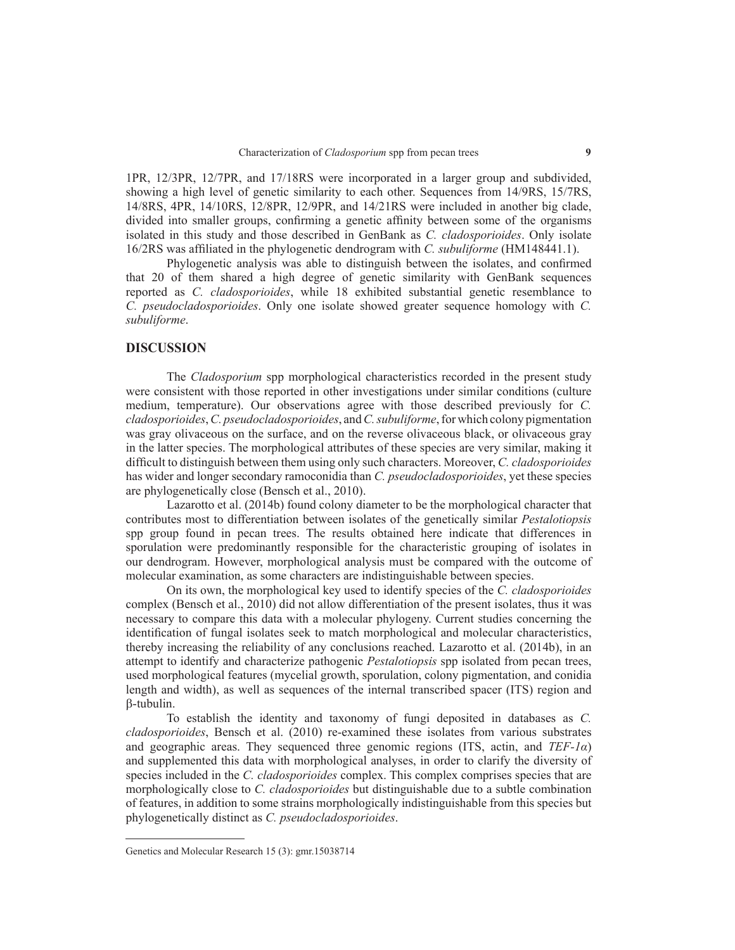1PR, 12/3PR, 12/7PR, and 17/18RS were incorporated in a larger group and subdivided, showing a high level of genetic similarity to each other. Sequences from 14/9RS, 15/7RS, 14/8RS, 4PR, 14/10RS, 12/8PR, 12/9PR, and 14/21RS were included in another big clade, divided into smaller groups, confirming a genetic affinity between some of the organisms isolated in this study and those described in GenBank as *C. cladosporioides*. Only isolate 16/2RS was affiliated in the phylogenetic dendrogram with *C. subuliforme* (HM148441.1).

Phylogenetic analysis was able to distinguish between the isolates, and confirmed that 20 of them shared a high degree of genetic similarity with GenBank sequences reported as *C. cladosporioides*, while 18 exhibited substantial genetic resemblance to *C. pseudocladosporioides*. Only one isolate showed greater sequence homology with *C. subuliforme*.

## **DISCUSSION**

The *Cladosporium* spp morphological characteristics recorded in the present study were consistent with those reported in other investigations under similar conditions (culture medium, temperature). Our observations agree with those described previously for *C. cladosporioides*, *C. pseudocladosporioides*, and *C. subuliforme*, for which colony pigmentation was gray olivaceous on the surface, and on the reverse olivaceous black, or olivaceous gray in the latter species. The morphological attributes of these species are very similar, making it difficult to distinguish between them using only such characters. Moreover, *C. cladosporioides* has wider and longer secondary ramoconidia than *C. pseudocladosporioides*, yet these species are phylogenetically close (Bensch et al., 2010).

Lazarotto et al. (2014b) found colony diameter to be the morphological character that contributes most to differentiation between isolates of the genetically similar *Pestalotiopsis* spp group found in pecan trees. The results obtained here indicate that differences in sporulation were predominantly responsible for the characteristic grouping of isolates in our dendrogram. However, morphological analysis must be compared with the outcome of molecular examination, as some characters are indistinguishable between species.

On its own, the morphological key used to identify species of the *C. cladosporioides* complex (Bensch et al., 2010) did not allow differentiation of the present isolates, thus it was necessary to compare this data with a molecular phylogeny. Current studies concerning the identification of fungal isolates seek to match morphological and molecular characteristics, thereby increasing the reliability of any conclusions reached. Lazarotto et al. (2014b), in an attempt to identify and characterize pathogenic *Pestalotiopsis* spp isolated from pecan trees, used morphological features (mycelial growth, sporulation, colony pigmentation, and conidia length and width), as well as sequences of the internal transcribed spacer (ITS) region and β-tubulin.

To establish the identity and taxonomy of fungi deposited in databases as *C. cladosporioides*, Bensch et al. (2010) re-examined these isolates from various substrates and geographic areas. They sequenced three genomic regions (ITS, actin, and *TEF-1α*) and supplemented this data with morphological analyses, in order to clarify the diversity of species included in the *C. cladosporioides* complex. This complex comprises species that are morphologically close to *C. cladosporioides* but distinguishable due to a subtle combination of features, in addition to some strains morphologically indistinguishable from this species but phylogenetically distinct as *C. pseudocladosporioides*.

Genetics and Molecular Research 15 (3): gmr.15038714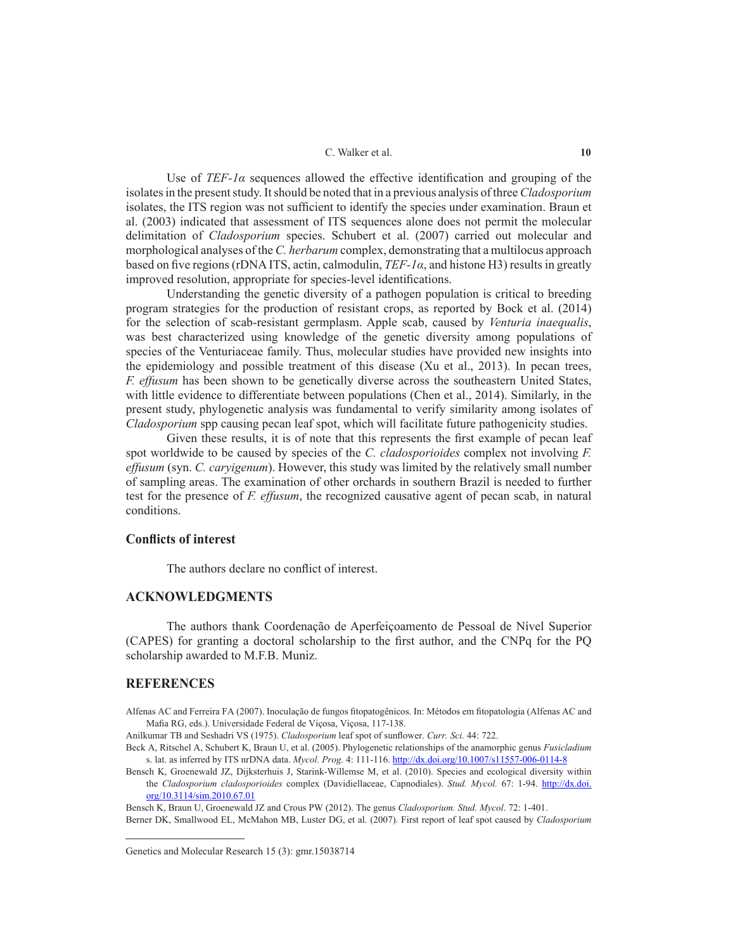Use of *TEF-1a* sequences allowed the effective identification and grouping of the isolates in the present study. It should be noted that in a previous analysis of three *Cladosporium* isolates, the ITS region was not sufficient to identify the species under examination. Braun et al. (2003) indicated that assessment of ITS sequences alone does not permit the molecular delimitation of *Cladosporium* species. Schubert et al. (2007) carried out molecular and morphological analyses of the *C. herbarum* complex, demonstrating that a multilocus approach based on five regions (rDNA ITS, actin, calmodulin, *TEF-1α*, and histone H3) results in greatly improved resolution, appropriate for species-level identifications.

Understanding the genetic diversity of a pathogen population is critical to breeding program strategies for the production of resistant crops, as reported by Bock et al. (2014) for the selection of scab-resistant germplasm. Apple scab, caused by *Venturia inaequalis*, was best characterized using knowledge of the genetic diversity among populations of species of the Venturiaceae family. Thus, molecular studies have provided new insights into the epidemiology and possible treatment of this disease (Xu et al., 2013). In pecan trees, *F. effusum* has been shown to be genetically diverse across the southeastern United States, with little evidence to differentiate between populations (Chen et al., 2014). Similarly, in the present study, phylogenetic analysis was fundamental to verify similarity among isolates of *Cladosporium* spp causing pecan leaf spot, which will facilitate future pathogenicity studies.

Given these results, it is of note that this represents the first example of pecan leaf spot worldwide to be caused by species of the *C. cladosporioides* complex not involving *F. effusum* (syn. *C. caryigenum*). However, this study was limited by the relatively small number of sampling areas. The examination of other orchards in southern Brazil is needed to further test for the presence of *F. effusum*, the recognized causative agent of pecan scab, in natural conditions.

#### **Conflicts of interest**

The authors declare no conflict of interest.

# **ACKNOWLEDGMENTS**

The authors thank Coordenação de Aperfeiçoamento de Pessoal de Nível Superior (CAPES) for granting a doctoral scholarship to the first author, and the CNPq for the PQ scholarship awarded to M.F.B. Muniz.

#### **REFERENCES**

Alfenas AC and Ferreira FA (2007). Inoculação de fungos fitopatogênicos. In: Métodos em fitopatologia (Alfenas AC and Mafia RG, eds.). Universidade Federal de Viçosa, Viçosa, 117-138.

Anilkumar TB and Seshadri VS (1975). *Cladosporium* leaf spot of sunflower. *Curr. Sci.* 44: 722.

- Beck A, Ritschel A, Schubert K, Braun U, et al. (2005). Phylogenetic relationships of the anamorphic genus *Fusicladium* s. lat. as inferred by ITS nrDNA data. *Mycol. Prog.* 4: 111-116. http://dx.doi.org/10.1007/s11557-006-0114-8
- Bensch K, Groenewald JZ, Dijksterhuis J, Starink-Willemse M, et al. (2010). Species and ecological diversity within the *Cladosporium cladosporioides* complex (Davidiellaceae, Capnodiales). *Stud. Mycol.* 67: 1-94. http://dx.doi. org/10.3114/sim.2010.67.01

Bensch K, Braun U, Groenewald JZ and Crous PW (2012). The genus *Cladosporium. Stud. Mycol*. 72: 1-401.

Berner DK, Smallwood EL, McMahon MB, Luster DG, et al. (2007). First report of leaf spot caused by *Cladosporium* 

Genetics and Molecular Research 15 (3): gmr.15038714